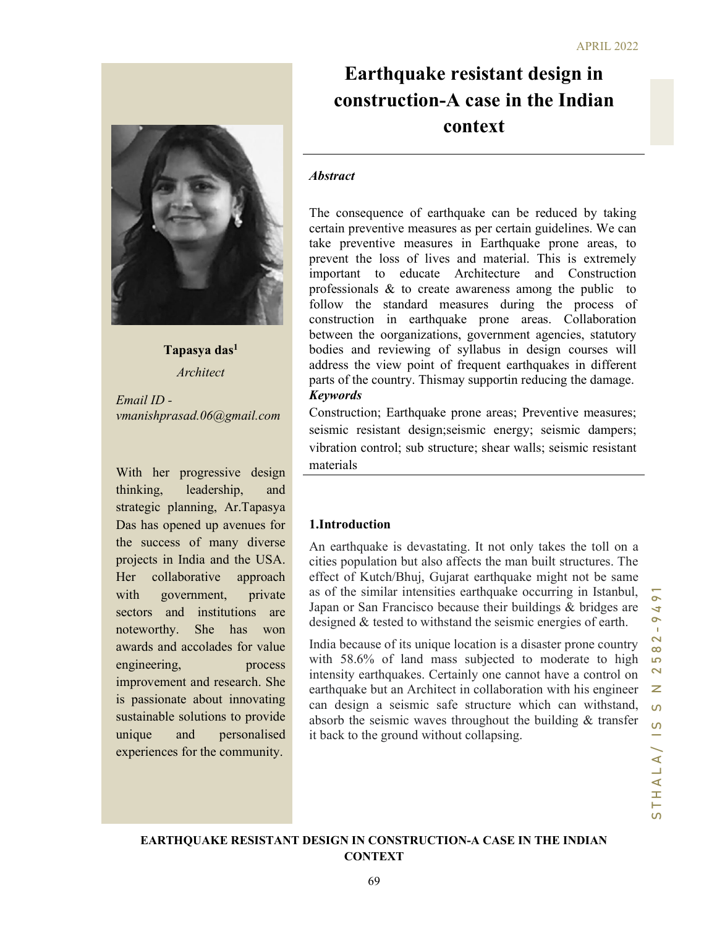# Earthquake resistant design in construction-A case in the Indian context

#### **Abstract**

is as to create waveness almong the puoton<br>
is standard measures during the process of<br>
in a rathiquake prone areas. Collaboration<br>
in earlier experiment agencies, statutory<br>
l reviewing of syllabus in design courses will The consequence of earthquake can be reduced by taking certain preventive measures as per certain guidelines. We can take preventive measures in Earthquake prone areas, to prevent the loss of lives and material. This is extremely important to educate Architecture and Construction professionals & to create awareness among the public to follow the standard measures during the process of construction in earthquake prone areas. Collaboration between the oorganizations, government agencies, statutory bodies and reviewing of syllabus in design courses will address the view point of frequent earthquakes in different parts of the country. Thismay supportin reducing the damage. Keywords

Construction; Earthquake prone areas; Preventive measures; seismic resistant design;seismic energy; seismic dampers; vibration control; sub structure; shear walls; seismic resistant materials

#### 1.Introduction

An earthquake is devastating. It not only takes the toll on a cities population but also affects the man built structures. The effect of Kutch/Bhuj, Gujarat earthquake might not be same as of the similar intensities earthquake occurring in Istanbul, Japan or San Francisco because their buildings & bridges are designed & tested to withstand the seismic energies of earth.

India because of its unique location is a disaster prone country with 58.6% of land mass subjected to moderate to high intensity earthquakes. Certainly one cannot have a control on earthquake but an Architect in collaboration with his engineer can design a seismic safe structure which can withstand, absorb the seismic waves throughout the building & transfer it back to the ground without collapsing.



#### EARTHQUAKE RESISTANT DESIGN IN CONSTRUCTION-A CASE IN THE INDIAN **CONTEXT**



Tapasya das<sup>1</sup> Architect

Email ID vmanishprasad.06@gmail.com

With her progressive design thinking, leadership, and strategic planning, Ar.Tapasya Das has opened up avenues for the success of many diverse projects in India and the USA. Her collaborative approach with government, private sectors and institutions are noteworthy. She has won awards and accolades for value engineering, process improvement and research. She is passionate about innovating sustainable solutions to provide unique and personalised experiences for the community.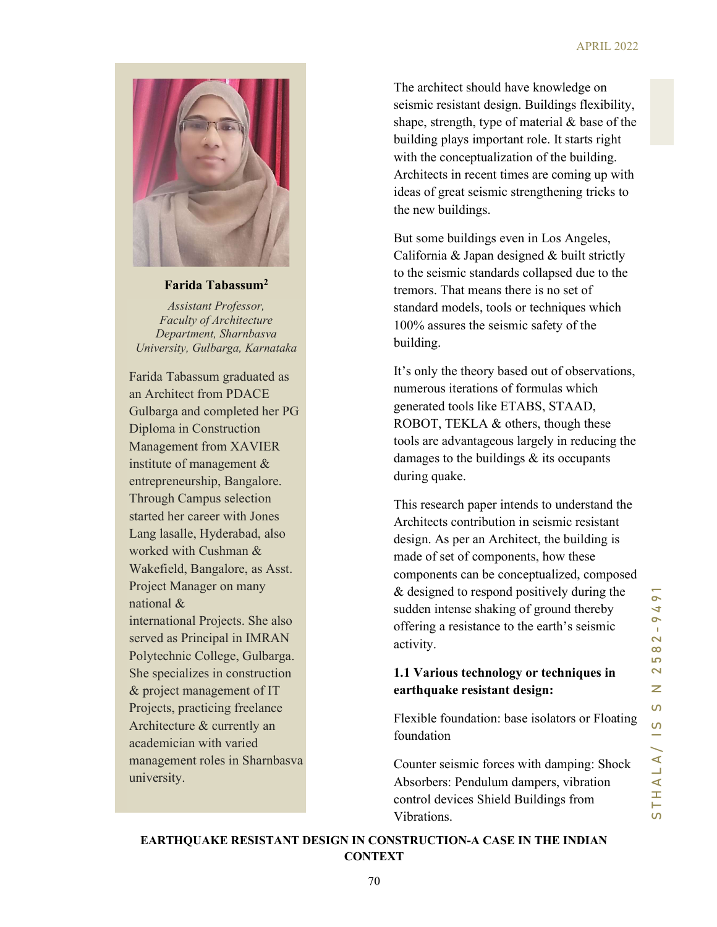

# Farida Tabassum<sup>2</sup>

Assistant Professor, Faculty of Architecture Department, Sharnbasva University, Gulbarga, Karnataka

Farida Tabassum graduated as an Architect from PDACE Gulbarga and completed her PG Diploma in Construction Management from XAVIER institute of management & entrepreneurship, Bangalore. Through Campus selection started her career with Jones Lang lasalle, Hyderabad, also worked with Cushman & Wakefield, Bangalore, as Asst. Project Manager on many national & international Projects. She also served as Principal in IMRAN Polytechnic College, Gulbarga. She specializes in construction & project management of IT Projects, practicing freelance Architecture & currently an academician with varied management roles in Sharnbasva university.

The architect should have knowledge on seismic resistant design. Buildings flexibility, shape, strength, type of material & base of the building plays important role. It starts right with the conceptualization of the building. Architects in recent times are coming up with ideas of great seismic strengthening tricks to the new buildings.

But some buildings even in Los Angeles, California & Japan designed & built strictly to the seismic standards collapsed due to the tremors. That means there is no set of standard models, tools or techniques which 100% assures the seismic safety of the building.

It's only the theory based out of observations, numerous iterations of formulas which generated tools like ETABS, STAAD, ROBOT, TEKLA & others, though these tools are advantageous largely in reducing the damages to the buildings & its occupants during quake.

tremors. That means there is no set of<br>standard models, tools or techniques which<br>100% assures the seismic safety of the<br>building.<br>
It's only the theory based out of observations,<br>
numerous iterations of formulas which<br>
g This research paper intends to understand the Architects contribution in seismic resistant design. As per an Architect, the building is made of set of components, how these components can be conceptualized, composed & designed to respond positively during the sudden intense shaking of ground thereby offering a resistance to the earth's seismic activity.

# 1.1 Various technology or techniques in earthquake resistant design:

Flexible foundation: base isolators or Floating foundation

Counter seismic forces with damping: Shock Absorbers: Pendulum dampers, vibration control devices Shield Buildings from Vibrations.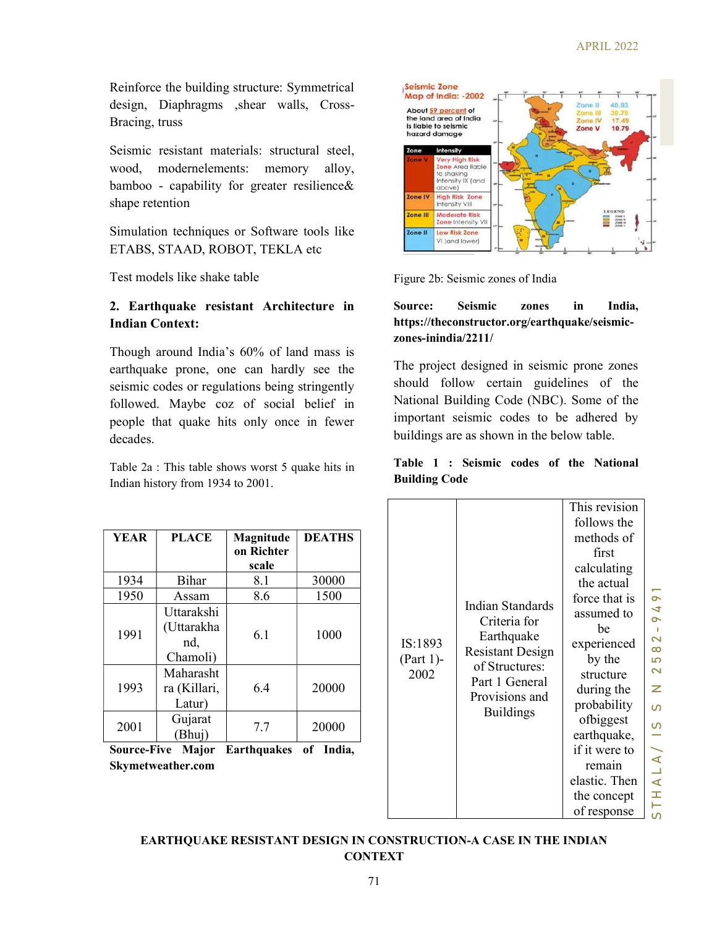Reinforce the building structure: Symmetrical design, Diaphragms ,shear walls, Cross-Bracing, truss

Seismic resistant materials: structural steel, wood, modernelements: memory alloy, bamboo - capability for greater resilience& shape retention

Simulation techniques or Software tools like ETABS, STAAD, ROBOT, TEKLA etc

Test models like shake table

# 2. Earthquake resistant Architecture in Indian Context:

Though around India's 60% of land mass is earthquake prone, one can hardly see the seismic codes or regulations being stringently followed. Maybe coz of social belief in people that quake hits only once in fewer decades.

Table 2a : This table shows worst 5 quake hits in Indian history from 1934 to 2001.

| <b>YEAR</b>          | <b>PLACE</b>                                 | Magnitude<br>on Richter<br>scale | <b>DEATHS</b>                                         |  |
|----------------------|----------------------------------------------|----------------------------------|-------------------------------------------------------|--|
| 1934                 | Bihar                                        | 8.1                              | 30000                                                 |  |
| 1950                 | Assam                                        | 8.6                              | 1500                                                  |  |
| 1991                 | Uttarakshi<br>(Uttarakha<br>nd,<br>Chamoli)  | 6.1                              | 1000<br>20000<br>20000<br>$\mathbf{r}$ t $\mathbf{r}$ |  |
| 1993                 | Maharasht<br>ra (Killari,<br>Latur)          | 6.4                              |                                                       |  |
| 2001<br>T.<br>$\sim$ | Gujarat<br>(Bhuj)<br><b>A</b> $\blacksquare$ | 7.7<br>T.<br>- 11 - 11           |                                                       |  |

Source-Five Major Earthquakes of India, Skymetweather.com



Figure 2b: Seismic zones of India

#### Source: Seismic zones in India, https://theconstructor.org/earthquake/seismiczones-inindia/2211/

# Table 1 : Seismic codes of the National Building Code

| Table 1 : Seismic codes of the National<br>This revision                                                                                                                                                                                                                |
|-------------------------------------------------------------------------------------------------------------------------------------------------------------------------------------------------------------------------------------------------------------------------|
| $\sim$<br>4<br>$\sim$<br>$\blacksquare$<br>$\overline{\mathbf{C}}$<br>$\infty$<br>မာ<br>$\overline{\mathbf{C}}$<br>z<br>$\Omega$<br>S<br>$\overline{\phantom{a}}$<br>$\blacktriangleleft$<br>Ц<br>elastic. Then<br>$\blacktriangleleft$<br>$\pm$<br>Н<br>$\overline{a}$ |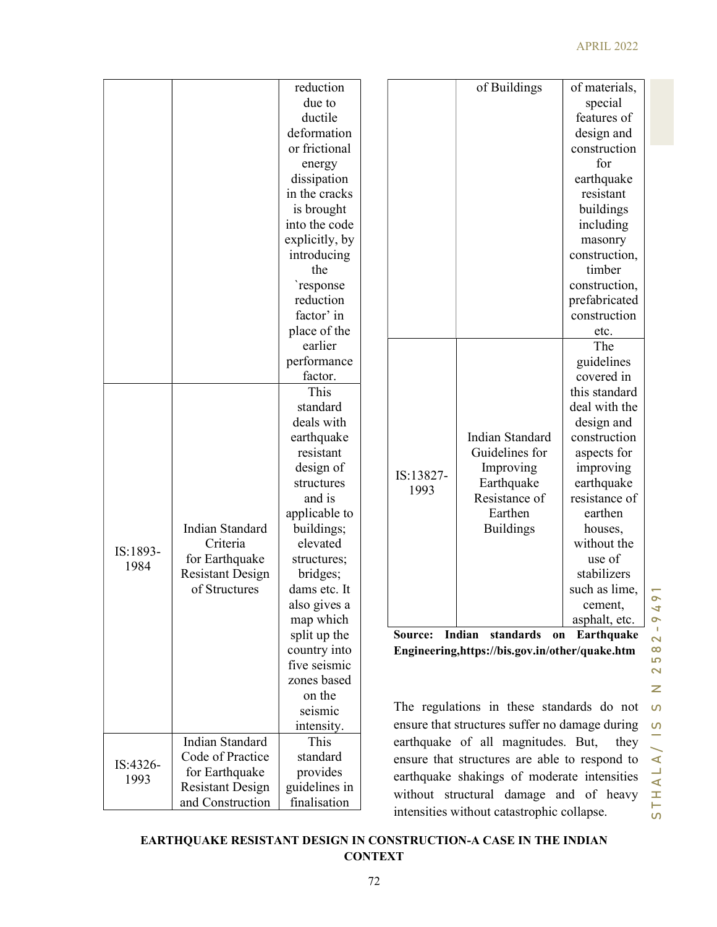#### APRIL 2022

|                       |          |                                                                  | reduction                                                 |                |                                                                                           | of Buildings                                                    | of materials,            |                         |
|-----------------------|----------|------------------------------------------------------------------|-----------------------------------------------------------|----------------|-------------------------------------------------------------------------------------------|-----------------------------------------------------------------|--------------------------|-------------------------|
|                       |          |                                                                  | due to                                                    |                |                                                                                           |                                                                 | special                  |                         |
|                       |          |                                                                  | ductile                                                   |                |                                                                                           |                                                                 | features of              |                         |
|                       |          |                                                                  | deformation                                               |                |                                                                                           |                                                                 | design and               |                         |
|                       |          |                                                                  | or frictional                                             |                |                                                                                           |                                                                 | construction             |                         |
|                       |          |                                                                  | energy                                                    |                |                                                                                           |                                                                 | for                      |                         |
|                       |          |                                                                  | dissipation                                               |                |                                                                                           |                                                                 | earthquake               |                         |
|                       |          |                                                                  | in the cracks                                             |                |                                                                                           |                                                                 | resistant                |                         |
|                       |          |                                                                  | is brought                                                |                |                                                                                           |                                                                 | buildings                |                         |
|                       |          |                                                                  | into the code                                             |                |                                                                                           |                                                                 | including                |                         |
|                       |          |                                                                  | explicitly, by                                            |                |                                                                                           |                                                                 |                          |                         |
|                       |          |                                                                  | introducing                                               |                |                                                                                           |                                                                 | masonry<br>construction, |                         |
|                       |          |                                                                  | the                                                       |                |                                                                                           |                                                                 | timber                   |                         |
|                       |          |                                                                  |                                                           |                |                                                                                           |                                                                 |                          |                         |
|                       |          |                                                                  | `response                                                 |                |                                                                                           |                                                                 | construction,            |                         |
|                       |          |                                                                  | reduction                                                 |                |                                                                                           |                                                                 | prefabricated            |                         |
|                       |          |                                                                  | factor' in                                                |                |                                                                                           |                                                                 | construction             |                         |
|                       |          |                                                                  | place of the                                              |                |                                                                                           |                                                                 | etc.                     |                         |
|                       |          |                                                                  | earlier                                                   |                |                                                                                           |                                                                 | The                      |                         |
|                       |          |                                                                  | performance                                               |                |                                                                                           |                                                                 | guidelines               |                         |
|                       |          |                                                                  | factor.                                                   |                |                                                                                           |                                                                 | covered in               |                         |
|                       |          |                                                                  | This                                                      |                |                                                                                           |                                                                 | this standard            |                         |
|                       |          |                                                                  | standard                                                  |                |                                                                                           |                                                                 | deal with the            |                         |
|                       |          |                                                                  | deals with                                                |                |                                                                                           |                                                                 | design and               |                         |
|                       |          |                                                                  | earthquake                                                |                |                                                                                           | Indian Standard                                                 | construction             |                         |
|                       |          |                                                                  | resistant                                                 |                | IS:13827-                                                                                 | Guidelines for                                                  | aspects for              |                         |
|                       |          |                                                                  | design of                                                 |                |                                                                                           | Improving                                                       | improving                |                         |
|                       |          |                                                                  | structures                                                | 1993           | Earthquake                                                                                | earthquake                                                      |                          |                         |
|                       |          |                                                                  | and is                                                    |                | Resistance of                                                                             | resistance of                                                   |                          |                         |
|                       |          |                                                                  | applicable to                                             |                | Earthen                                                                                   | earthen                                                         |                          |                         |
|                       |          | Indian Standard                                                  | buildings;                                                |                | <b>Buildings</b>                                                                          | houses,                                                         |                          |                         |
|                       | IS:1893- | Criteria                                                         | elevated                                                  |                |                                                                                           | without the                                                     |                          |                         |
|                       | 1984     | for Earthquake                                                   | structures;                                               |                |                                                                                           | use of                                                          |                          |                         |
|                       |          | <b>Resistant Design</b>                                          | bridges;                                                  |                |                                                                                           | stabilizers                                                     |                          |                         |
|                       |          | of Structures                                                    | dams etc. It                                              |                |                                                                                           | such as lime,                                                   | $\overline{9}$ 1         |                         |
|                       |          |                                                                  | also gives a                                              |                |                                                                                           | cement,                                                         | 4                        |                         |
|                       |          |                                                                  | map which                                                 |                |                                                                                           | asphalt, etc.                                                   | $\sim$                   |                         |
|                       |          |                                                                  | split up the                                              |                |                                                                                           | Source: Indian standards on Earthquake                          |                          | $\overline{\mathbf{C}}$ |
|                       |          |                                                                  | country into                                              |                | Engineering, https://bis.gov.in/other/quake.htm                                           |                                                                 |                          | $\infty$                |
|                       |          |                                                                  | five seismic                                              |                |                                                                                           |                                                                 |                          | 5<br>$\mathbf{z}$       |
| zones based<br>on the |          |                                                                  |                                                           |                |                                                                                           |                                                                 |                          |                         |
|                       |          |                                                                  |                                                           |                |                                                                                           |                                                                 | Z                        |                         |
|                       | seismic  |                                                                  |                                                           |                |                                                                                           | The regulations in these standards do not $\boldsymbol{\omega}$ |                          |                         |
|                       |          |                                                                  | intensity.                                                |                | ensure that structures suffer no damage during<br>earthquake of all magnitudes. But, they |                                                                 |                          |                         |
|                       |          | Indian Standard                                                  | This                                                      |                |                                                                                           |                                                                 |                          |                         |
|                       |          | Code of Practice                                                 | standard                                                  |                |                                                                                           |                                                                 |                          |                         |
|                       | IS:4326- | for Earthquake                                                   | ensure that structures are able to respond to<br>provides |                |                                                                                           |                                                                 |                          | $\blacktriangleleft$    |
|                       | 1993     | <b>Resistant Design</b>                                          | guidelines in                                             |                | earthquake shakings of moderate intensities                                               |                                                                 |                          | $\overline{4}$<br>H     |
|                       |          | and Construction                                                 | finalisation                                              |                | without structural damage and of heavy                                                    |                                                                 |                          |                         |
|                       |          |                                                                  |                                                           |                |                                                                                           | intensities without catastrophic collapse.                      |                          | $\overline{5}$          |
|                       |          |                                                                  |                                                           |                |                                                                                           |                                                                 |                          |                         |
|                       |          | EARTHQUAKE RESISTANT DESIGN IN CONSTRUCTION-A CASE IN THE INDIAN |                                                           |                |                                                                                           |                                                                 |                          |                         |
|                       |          |                                                                  |                                                           | <b>CONTEXT</b> |                                                                                           |                                                                 |                          |                         |
|                       |          |                                                                  |                                                           | 72             |                                                                                           |                                                                 |                          |                         |
|                       |          |                                                                  |                                                           |                |                                                                                           |                                                                 |                          |                         |

# EARTHQUAKE RESISTANT DESIGN IN CONSTRUCTION-A CASE IN THE INDIAN **CONTEXT**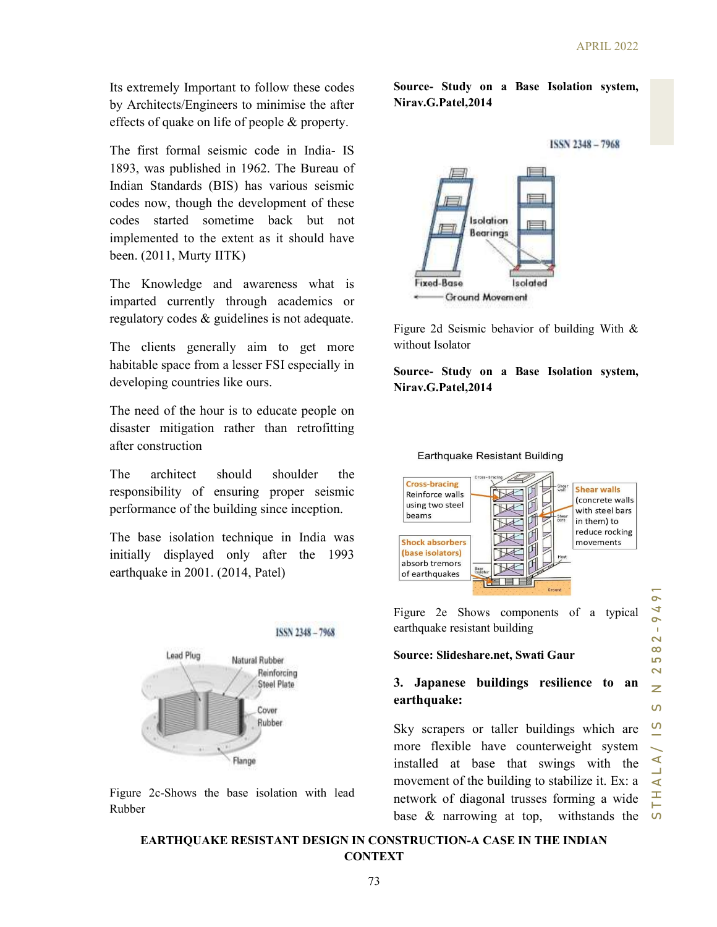Its extremely Important to follow these codes by Architects/Engineers to minimise the after effects of quake on life of people & property.

The first formal seismic code in India- IS 1893, was published in 1962. The Bureau of Indian Standards (BIS) has various seismic codes now, though the development of these codes started sometime back but not implemented to the extent as it should have been. (2011, Murty IITK)

The Knowledge and awareness what is imparted currently through academics or regulatory codes & guidelines is not adequate.

The clients generally aim to get more habitable space from a lesser FSI especially in developing countries like ours.

The need of the hour is to educate people on disaster mitigation rather than retrofitting after construction

The architect should shoulder the responsibility of ensuring proper seismic performance of the building since inception.

The base isolation technique in India was initially displayed only after the 1993 earthquake in 2001. (2014, Patel)



Figure 2c-Shows the base isolation with lead Rubber

Source- Study on a Base Isolation system, Nirav.G.Patel,2014





Figure 2d Seismic behavior of building With & without Isolator

Source- Study on a Base Isolation system, Nirav.G.Patel,2014



Figure 2e Shows components of a typical earthquake resistant building

#### Source: Slideshare.net, Swati Gaur

#### 3. Japanese buildings resilience to an earthquake:

Sky scrapers or taller buildings which are more flexible have counterweight system installed at base that swings with the movement of the building to stabilize it. Ex: a network of diagonal trusses forming a wide base & narrowing at top, withstands the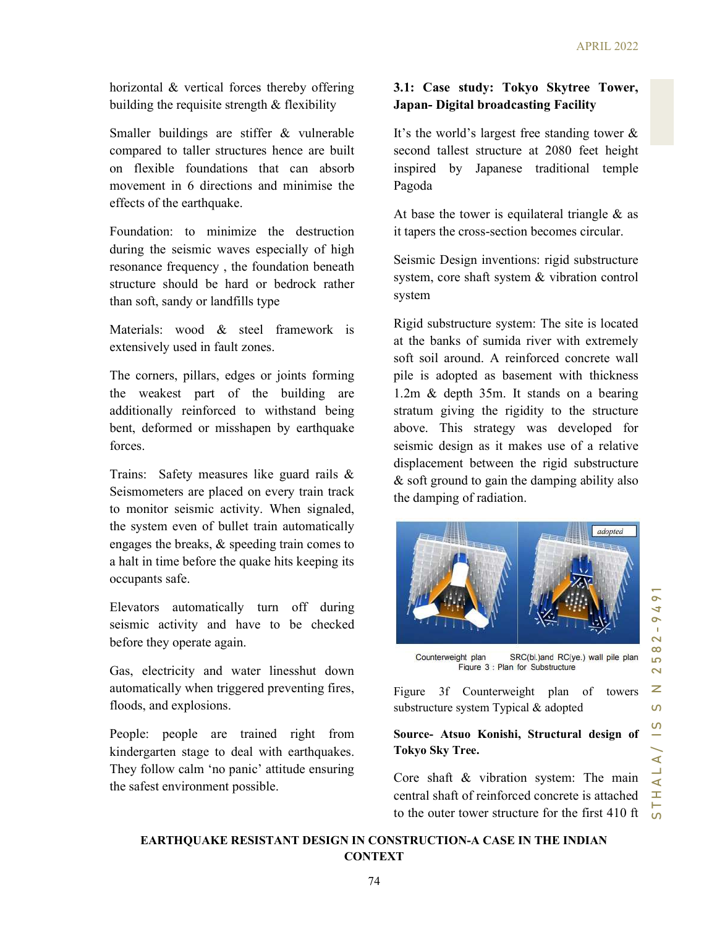horizontal & vertical forces thereby offering building the requisite strength  $&$  flexibility

Smaller buildings are stiffer & vulnerable compared to taller structures hence are built on flexible foundations that can absorb movement in 6 directions and minimise the effects of the earthquake.

Foundation: to minimize the destruction during the seismic waves especially of high resonance frequency , the foundation beneath structure should be hard or bedrock rather than soft, sandy or landfills type

Materials: wood & steel framework is extensively used in fault zones.

The corners, pillars, edges or joints forming the weakest part of the building are additionally reinforced to withstand being bent, deformed or misshapen by earthquake forces.

Trains: Safety measures like guard rails & Seismometers are placed on every train track to monitor seismic activity. When signaled, the system even of bullet train automatically engages the breaks, & speeding train comes to a halt in time before the quake hits keeping its occupants safe.

Elevators automatically turn off during seismic activity and have to be checked before they operate again.

Gas, electricity and water linesshut down automatically when triggered preventing fires, floods, and explosions.

People: people are trained right from kindergarten stage to deal with earthquakes. They follow calm 'no panic' attitude ensuring the safest environment possible.

# 3.1: Case study: Tokyo Skytree Tower, Japan- Digital broadcasting Facility

It's the world's largest free standing tower & second tallest structure at 2080 feet height inspired by Japanese traditional temple Pagoda

At base the tower is equilateral triangle & as it tapers the cross-section becomes circular.

Seismic Design inventions: rigid substructure system, core shaft system & vibration control system

system<br>
Rigid substructure system: The site is located<br>
at the banks of sumida river with extremely<br>
soft soil around. A reinforced concrete wall<br>
pile is adopted as basement with thickness<br>
1.2m & depth 35m. It stands on Rigid substructure system: The site is located at the banks of sumida river with extremely soft soil around. A reinforced concrete wall pile is adopted as basement with thickness 1.2m & depth 35m. It stands on a bearing stratum giving the rigidity to the structure above. This strategy was developed for seismic design as it makes use of a relative displacement between the rigid substructure & soft ground to gain the damping ability also the damping of radiation.



Figure 3f Counterweight plan of towers substructure system Typical & adopted

# Source- Atsuo Konishi, Structural design of Tokyo Sky Tree.

Core shaft & vibration system: The main central shaft of reinforced concrete is attached to the outer tower structure for the first 410 ft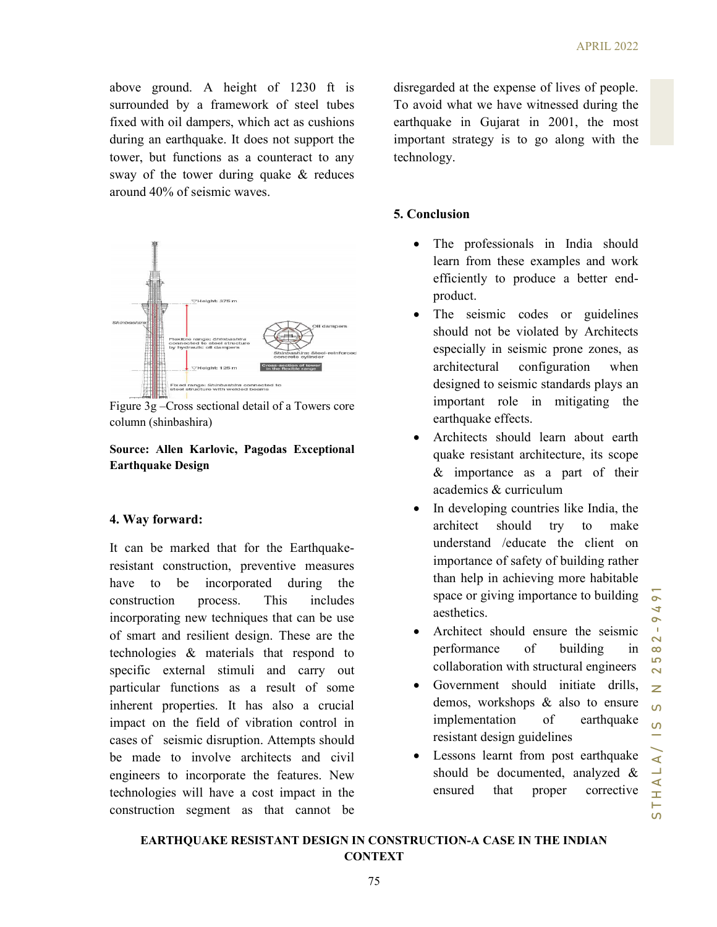above ground. A height of 1230 ft is surrounded by a framework of steel tubes fixed with oil dampers, which act as cushions during an earthquake. It does not support the tower, but functions as a counteract to any sway of the tower during quake & reduces around 40% of seismic waves.





#### Source: Allen Karlovic, Pagodas Exceptional Earthquake Design

#### 4. Way forward:

It can be marked that for the Earthquakeresistant construction, preventive measures have to be incorporated during the construction process. This includes incorporating new techniques that can be use of smart and resilient design. These are the technologies & materials that respond to specific external stimuli and carry out particular functions as a result of some inherent properties. It has also a crucial impact on the field of vibration control in cases of seismic disruption. Attempts should be made to involve architects and civil engineers to incorporate the features. New technologies will have a cost impact in the construction segment as that cannot be

disregarded at the expense of lives of people. To avoid what we have witnessed during the earthquake in Gujarat in 2001, the most important strategy is to go along with the technology.

# 5. Conclusion

- The professionals in India should learn from these examples and work efficiently to produce a better endproduct.
- The seismic codes or guidelines should not be violated by Architects especially in seismic prone zones, as architectural configuration when designed to seismic standards plays an important role in mitigating the earthquake effects.
- Architects should learn about earth quake resistant architecture, its scope & importance as a part of their academics & curriculum
- product.<br>
The seismic codes or guidelines<br>
should not be violated by Architects<br>
especially in seismic prone zones, as<br>
architectural configuration when<br>
designed to seismic standards plays an<br>
important role in mitigatin In developing countries like India, the architect should try to make understand /educate the client on importance of safety of building rather than help in achieving more habitable space or giving importance to building aesthetics.
	- Architect should ensure the seismic performance of building in collaboration with structural engineers
	- Government should initiate drills, demos, workshops & also to ensure implementation of earthquake resistant design guidelines
	- Lessons learnt from post earthquake should be documented, analyzed & ensured that proper corrective